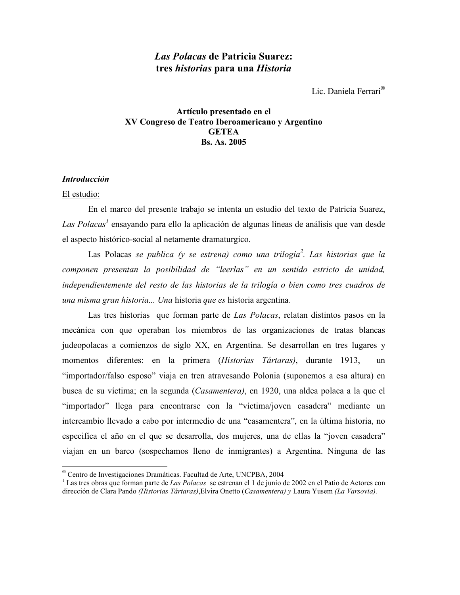# Las Polacas de Patricia Suarez: tres historias para una Historia

Lic. Daniela Ferrari<sup>®</sup>

# Artículo presentado en el XV Congreso de Teatro Iberoamericano y Argentino **GETEA Bs. As. 2005**

# **Introducción**

## El estudio:

En el marco del presente trabajo se intenta un estudio del texto de Patricia Suarez, Las Polacas<sup>1</sup> ensayando para ello la aplicación de algunas líneas de análisis que van desde el aspecto histórico-social al netamente dramaturgico.

Las Polacas se publica (y se estrena) como una trilogía<sup>2</sup>. Las historias que la componen presentan la posibilidad de "leerlas" en un sentido estricto de unidad, independientemente del resto de las historias de la trilogía o bien como tres cuadros de una misma gran historia... Una historia que es historia argentina.

Las tres historias que forman parte de Las Polacas, relatan distintos pasos en la mecánica con que operaban los miembros de las organizaciones de tratas blancas judeopolacas a comienzos de siglo XX, en Argentina. Se desarrollan en tres lugares y momentos diferentes: en la primera (Historias Tártaras), durante 1913, un "importador/falso esposo" viaja en tren atravesando Polonia (suponemos a esa altura) en busca de su víctima; en la segunda (Casamentera), en 1920, una aldea polaca a la que el "importador" llega para encontrarse con la "víctima/joven casadera" mediante un intercambio llevado a cabo por intermedio de una "casamentera", en la última historia, no especifica el año en el que se desarrolla, dos mujeres, una de ellas la "joven casadera" viajan en un barco (sospechamos lleno de inmigrantes) a Argentina. Ninguna de las

<sup>&</sup>lt;sup>®</sup> Centro de Investigaciones Dramáticas. Facultad de Arte, UNCPBA, 2004

<sup>&</sup>lt;sup>1</sup> Las tres obras que forman parte de *Las Polacas* se estrenan el 1 de junio de 2002 en el Patio de Actores con dirección de Clara Pando (Historias Tártaras), Elvira Onetto (Casamentera) y Laura Yusem (La Varsovia).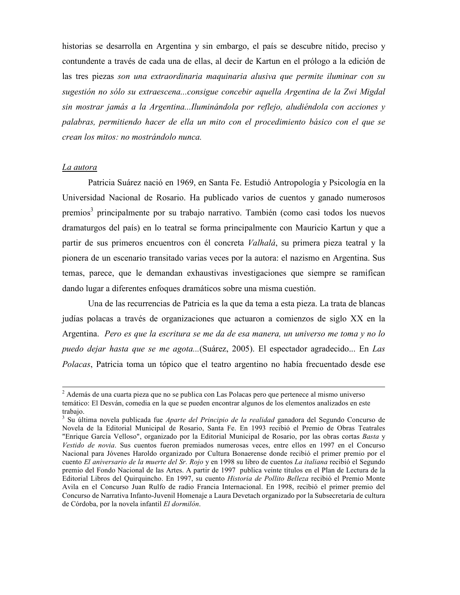historias se desarrolla en Argentina y sin embargo, el país se descubre nítido, preciso y contundente a través de cada una de ellas, al decir de Kartun en el prólogo a la edición de las tres piezas son una extraordinaria maguinaria alusiva que permite iluminar con su sugestión no sólo su extraescena...consigue concebir aquella Argentina de la Zwi Migdal sin mostrar jamás a la Argentina...Iluminándola por reflejo, aludiéndola con acciones y palabras, permitiendo hacer de ella un mito con el procedimiento básico con el que se crean los mitos: no mostrándolo nunca.

#### La autora

Patricia Suárez nació en 1969, en Santa Fe. Estudió Antropología y Psicología en la Universidad Nacional de Rosario. Ha publicado varios de cuentos y ganado numerosos premios<sup>3</sup> principalmente por su trabajo narrativo. También (como casi todos los nuevos dramaturgos del país) en lo teatral se forma principalmente con Mauricio Kartun y que a partir de sus primeros encuentros con él concreta Valhalá, su primera pieza teatral y la pionera de un escenario transitado varias veces por la autora: el nazismo en Argentina. Sus temas, parece, que le demandan exhaustivas investigaciones que siempre se ramifican dando lugar a diferentes enfoques dramáticos sobre una misma cuestión.

Una de las recurrencias de Patricia es la que da tema a esta pieza. La trata de blancas judías polacas a través de organizaciones que actuaron a comienzos de siglo XX en la Argentina. Pero es que la escritura se me da de esa manera, un universo me toma y no lo puedo dejar hasta que se me agota...(Suárez, 2005). El espectador agradecido... En Las *Polacas*. Patricia toma un tópico que el teatro argentino no había frecuentado desde ese

<sup>&</sup>lt;sup>2</sup> Además de una cuarta pieza que no se publica con Las Polacas pero que pertenece al mismo universo temático: El Desván, comedia en la que se pueden encontrar algunos de los elementos analizados en este trabajo.

<sup>&</sup>lt;sup>3</sup> Su última novela publicada fue *Aparte del Principio de la realidad* ganadora del Segundo Concurso de Novela de la Editorial Municipal de Rosario, Santa Fe. En 1993 recibió el Premio de Obras Teatrales "Enrique García Velloso", organizado por la Editorial Municipal de Rosario, por las obras cortas Basta y Vestido de novia. Sus cuentos fueron premiados numerosas veces, entre ellos en 1997 en el Concurso Nacional para Jóvenes Haroldo organizado por Cultura Bonaerense donde recibió el primer premio por el cuento El aniversario de la muerte del Sr. Rojo y en 1998 su libro de cuentos La italiana recibió el Segundo premio del Fondo Nacional de las Artes. A partir de 1997 publica veinte títulos en el Plan de Lectura de la Editorial Libros del Quirquincho. En 1997, su cuento Historia de Pollito Belleza recibió el Premio Monte Avila en el Concurso Juan Rulfo de radio Francia Internacional. En 1998, recibió el primer premio del Concurso de Narrativa Infanto-Juvenil Homenaje a Laura Devetach organizado por la Subsecretaría de cultura de Córdoba, por la novela infantil El dormilón.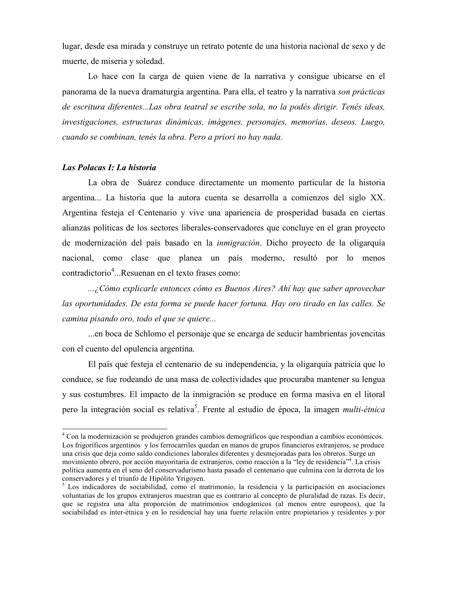lugar, desde esa mirada y construye un retrato potente de una historia nacional de sexo y de muerte, de miseria y soledad.

Lo hace con la carga de quien viene de la narrativa y consigue ubicarse en el panorama de la nueva dramaturgia argentina. Para ella, el teatro y la narrativa son prácticas de escritura diferentes...Las obra teatral se escribe sola, no la podés dirigir. Tenés ideas, investigaciones, estructuras dinámicas, imágenes, personajes, memorias, deseos. Luego, cuando se combinan, tenés la obra. Pero a priori no hay nada.

# Las Polacas I: La historia

La obra de Suárez conduce directamente un momento particular de la historia argentina... La historia que la autora cuenta se desarrolla a comienzos del siglo XX. Argentina festeja el Centenario y vive una apariencia de prosperidad basada en ciertas alianzas políticas de los sectores liberales-conservadores que concluve en el gran provecto de modernización del país basado en la *inmigración*. Dicho proyecto de la oligarquía nacional, como clase que planea un país moderno, resultó por lo menos contradictorio<sup>4</sup>...Resuenan en el texto frases como:

...¿Cómo explicarle entonces cómo es Buenos Aires? Ahí hay que saber aprovechar las oportunidades. De esta forma se puede hacer fortuna. Hay oro tirado en las calles. Se camina pisando oro, todo el que se quiere...

...en boca de Schlomo el personaje que se encarga de seducir hambrientas jovencitas con el cuento del opulencia argentina.

El país que festeja el centenario de su independencia, y la oligarquía patricia que lo conduce, se fue rodeando de una masa de colectividades que procuraba mantener su lengua y sus costumbres. El impacto de la inmigración se produce en forma masiva en el litoral pero la integración social es relativa<sup>5</sup>. Frente al estudio de época, la imagen *multi-étnica* 

<sup>&</sup>lt;sup>4</sup> Con la modernización se produjeron grandes cambios demográficos que respondían a cambios económicos. Los frigoríficos argentinos y los ferrocarriles quedan en manos de grupos financieros extranjeros, se produce una crisis que deja como saldo condiciones laborales diferentes y desmejoradas para los obreros. Surge un movimiento obrero, por acción mayoritaria de extranjeros, como reacción a la "ley de residencia"<sup>4</sup>. La crisis política aumenta en el seno del conservadurismo hasta pasado el centenario que culmina con la derrota de los conservadores y el triunfo de Hipólito Yrigoyen.

 $5$  Los indicadores de sociabilidad, como el matrimonio, la residencia y la participación en asociaciones voluntarias de los grupos extranjeros muestran que es contrario al concepto de pluralidad de razas. Es decir, que se registra una alta proporción de matrimonios endogámicos (al menos entre europeos), que la sociabilidad es inter-étnica y en lo residencial hay una fuerte relación entre propietarios y residentes y por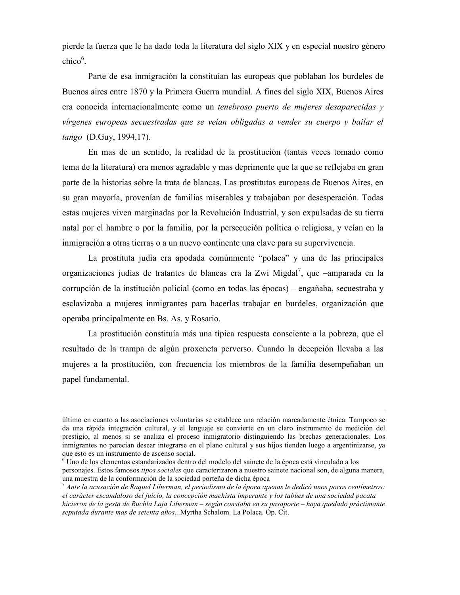pierde la fuerza que le ha dado toda la literatura del siglo XIX y en especial nuestro género  $chico<sup>6</sup>$ .

Parte de esa inmigración la constituían las europeas que poblaban los burdeles de Buenos aires entre 1870 y la Primera Guerra mundial. A fines del siglo XIX, Buenos Aires era conocida internacionalmente como un *tenebroso puerto de mujeres desaparecidas* y vírgenes europeas secuestradas que se veían obligadas a vender su cuerpo y bailar el tango (D.Guy, 1994,17).

En mas de un sentido, la realidad de la prostitución (tantas veces tomado como tema de la literatura) era menos agradable y mas deprimente que la que se reflejaba en gran parte de la historias sobre la trata de blancas. Las prostitutas europeas de Buenos Aires, en su gran mayoría, provenían de familias miserables y trabajaban por desesperación. Todas estas mujeres viven marginadas por la Revolución Industrial, y son expulsadas de su tierra natal por el hambre o por la familia, por la persecución política o religiosa, y veían en la inmigración a otras tierras o a un nuevo continente una clave para su supervivencia.

La prostituta judía era apodada comúnmente "polaca" y una de las principales organizaciones judías de tratantes de blancas era la Zwi Migdal<sup>7</sup>, que -amparada en la corrupción de la institución policial (como en todas las épocas) – engañaba, secuestraba y esclavizaba a mujeres inmigrantes para hacerlas trabajar en burdeles, organización que operaba principalmente en Bs. As. y Rosario.

La prostitución constituía más una típica respuesta consciente a la pobreza, que el resultado de la trampa de algún proxeneta perverso. Cuando la decepción llevaba a las mujeres a la prostitución, con frecuencia los miembros de la familia desempeñaban un papel fundamental.

último en cuanto a las asociaciones voluntarias se establece una relación marcadamente étnica. Tampoco se da una rápida integración cultural, y el lenguaje se convierte en un claro instrumento de medición del prestigio, al menos si se analiza el proceso inmigratorio distinguiendo las brechas generacionales. Los inmigrantes no parecían desear integrarse en el plano cultural y sus hijos tienden luego a argentinizarse, ya que esto es un instrumento de ascenso social.

Uno de los elementos estandarizados dentro del modelo del sainete de la época está vinculado a los personajes. Estos famosos *tipos sociales* que caracterizaron a nuestro sainete nacional son, de alguna manera, una muestra de la conformación de la sociedad porteña de dicha época

 $^7$  Ante la acusación de Raquel Liberman, el periodismo de la época apenas le dedicó unos pocos centímetros: el carácter escandaloso del juicio, la concepción machista imperante y los tabúes de una sociedad pacata hicieron de la gesta de Ruchla Laja Liberman – según constaba en su pasaporte – haya quedado práctimante seputada durante mas de setenta años...Myrtha Schalom. La Polaca. Op. Cit.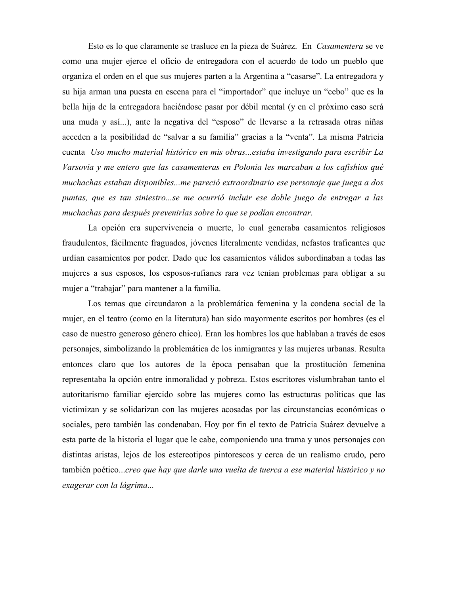Esto es lo que claramente se trasluce en la pieza de Suárez. En Casamentera se ve como una mujer ejerce el oficio de entregadora con el acuerdo de todo un pueblo que organiza el orden en el que sus mujeres parten a la Argentina a "casarse". La entregadora y su hija arman una puesta en escena para el "importador" que incluye un "cebo" que es la bella hija de la entregadora haciéndose pasar por débil mental (y en el próximo caso será una muda y así...), ante la negativa del "esposo" de llevarse a la retrasada otras niñas acceden a la posibilidad de "salvar a su familia" gracias a la "venta". La misma Patricia cuenta Uso mucho material histórico en mis obras...estaba investigando para escribir La Varsovia y me entero que las casamenteras en Polonia les marcaban a los cafishios qué muchachas estaban disponibles...me pareció extraordinario ese personaje que juega a dos puntas, que es tan siniestro...se me ocurrió incluir ese doble juego de entregar a las muchachas para después prevenirlas sobre lo que se podían encontrar.

La opción era supervivencia o muerte, lo cual generaba casamientos religiosos fraudulentos, fácilmente fraguados, jóvenes literalmente vendidas, nefastos traficantes que urdían casamientos por poder. Dado que los casamientos válidos subordinaban a todas las mujeres a sus esposos, los esposos-rufianes rara vez tenían problemas para obligar a su mujer a "trabajar" para mantener a la familia.

Los temas que circundaron a la problemática femenina y la condena social de la mujer, en el teatro (como en la literatura) han sido mayormente escritos por hombres (es el caso de nuestro generoso género chico). Eran los hombres los que hablaban a través de esos personajes, simbolizando la problemática de los inmigrantes y las mujeres urbanas. Resulta entonces claro que los autores de la época pensaban que la prostitución femenina representaba la opción entre inmoralidad y pobreza. Estos escritores vislumbraban tanto el autoritarismo familiar ejercido sobre las mujeres como las estructuras políticas que las victimizan y se solidarizan con las mujeres acosadas por las circunstancias económicas o sociales, pero también las condenaban. Hoy por fin el texto de Patricia Suárez devuelve a esta parte de la historia el lugar que le cabe, componiendo una trama y unos personajes con distintas aristas, lejos de los estereotipos pintorescos y cerca de un realismo crudo, pero también poético...creo que hay que darle una vuelta de tuerca a ese material histórico y no exagerar con la lágrima...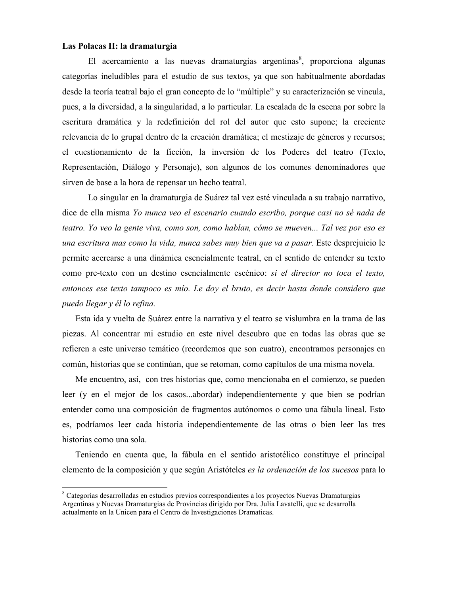## Las Polacas II: la dramaturgia

El acercamiento a las nuevas dramaturgias argentinas<sup>8</sup>, proporciona algunas categorías ineludibles para el estudio de sus textos, ya que son habitualmente abordadas desde la teoría teatral bajo el gran concepto de lo "múltiple" y su caracterización se vincula, pues, a la diversidad, a la singularidad, a lo particular. La escalada de la escena por sobre la escritura dramática y la redefinición del rol del autor que esto supone; la creciente relevancia de lo grupal dentro de la creación dramática; el mestizaje de géneros y recursos; el cuestionamiento de la ficción, la inversión de los Poderes del teatro (Texto, Representación, Diálogo y Personaje), son algunos de los comunes denominadores que sirven de base a la hora de repensar un hecho teatral.

Lo singular en la dramaturgia de Suárez tal vez esté vinculada a su trabajo narrativo, dice de ella misma Yo nunca veo el escenario cuando escribo, porque casi no sé nada de teatro. Yo veo la gente viva, como son, como hablan, cómo se mueven... Tal vez por eso es una escritura mas como la vida, nunca sabes muy bien que va a pasar. Este desprejuicio le permite acercarse a una dinámica esencialmente teatral, en el sentido de entender su texto como pre-texto con un destino esencialmente escénico: si el director no toca el texto, entonces ese texto tampoco es mío. Le doy el bruto, es decir hasta donde considero que puedo llegar y él lo refina.

Esta ida y vuelta de Suárez entre la narrativa y el teatro se vislumbra en la trama de las piezas. Al concentrar mi estudio en este nivel descubro que en todas las obras que se refieren a este universo temático (recordemos que son cuatro), encontramos personajes en común, historias que se continúan, que se retoman, como capítulos de una misma novela.

Me encuentro, así, con tres historias que, como mencionaba en el comienzo, se pueden leer (y en el mejor de los casos...abordar) independientemente y que bien se podrían entender como una composición de fragmentos autónomos o como una fábula lineal. Esto es, podríamos leer cada historia independientemente de las otras o bien leer las tres historias como una sola.

Teniendo en cuenta que, la fábula en el sentido aristotélico constituye el principal elemento de la composición y que según Aristóteles *es la ordenación de los sucesos* para lo

<sup>&</sup>lt;sup>8</sup> Categorías desarrolladas en estudios previos correspondientes a los proyectos Nuevas Dramaturgias Argentinas y Nuevas Dramaturgias de Provincias dirigido por Dra. Julia Lavatelli, que se desarrolla actualmente en la Unicen para el Centro de Investigaciones Dramaticas.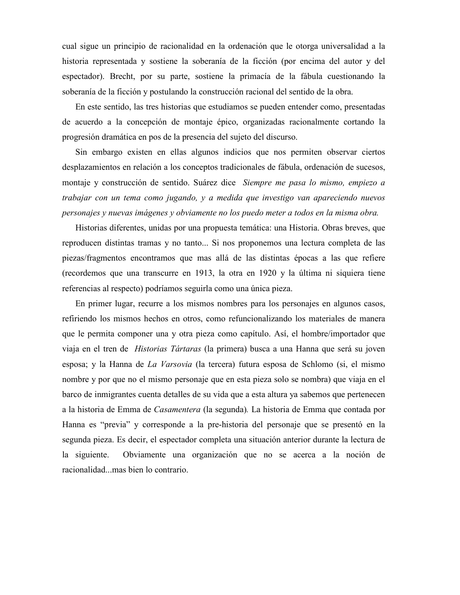cual sigue un principio de racionalidad en la ordenación que le otorga universalidad a la historia representada y sostiene la soberanía de la ficción (por encima del autor y del espectador). Brecht, por su parte, sostiene la primacía de la fábula cuestionando la soberanía de la ficción y postulando la construcción racional del sentido de la obra.

En este sentido, las tres historias que estudiamos se pueden entender como, presentadas de acuerdo a la concepción de montaje épico, organizadas racionalmente cortando la progresión dramática en pos de la presencia del sujeto del discurso.

Sin embargo existen en ellas algunos indicios que nos permiten observar ciertos desplazamientos en relación a los conceptos tradicionales de fábula, ordenación de sucesos, montaje y construcción de sentido. Suárez dice Siempre me pasa lo mismo, empiezo a trabajar con un tema como jugando, y a medida que investigo van apareciendo nuevos personajes y nuevas imágenes y obviamente no los puedo meter a todos en la misma obra.

Historias diferentes, unidas por una propuesta temática: una Historia. Obras breves, que reproducen distintas tramas y no tanto... Si nos proponemos una lectura completa de las piezas/fragmentos encontramos que mas allá de las distintas épocas a las que refiere (recordemos que una transcurre en 1913, la otra en 1920 y la última ni siguiera tiene referencias al respecto) podríamos seguirla como una única pieza.

En primer lugar, recurre a los mismos nombres para los personajes en algunos casos, refiriendo los mismos hechos en otros, como refuncionalizando los materiales de manera que le permita componer una y otra pieza como capítulo. Así, el hombre/importador que viaja en el tren de *Historias Tártaras* (la primera) busca a una Hanna que será su joven esposa; y la Hanna de *La Varsovia* (la tercera) futura esposa de Schlomo (si, el mismo nombre y por que no el mismo personaje que en esta pieza solo se nombra) que viaja en el barco de inmigrantes cuenta detalles de su vida que a esta altura ya sabemos que pertenecen a la historia de Emma de Casamentera (la segunda). La historia de Emma que contada por Hanna es "previa" y corresponde a la pre-historia del personaje que se presentó en la segunda pieza. Es decir, el espectador completa una situación anterior durante la lectura de Obviamente una organización que no se acerca a la noción de la siguiente. racionalidad...mas bien lo contrario.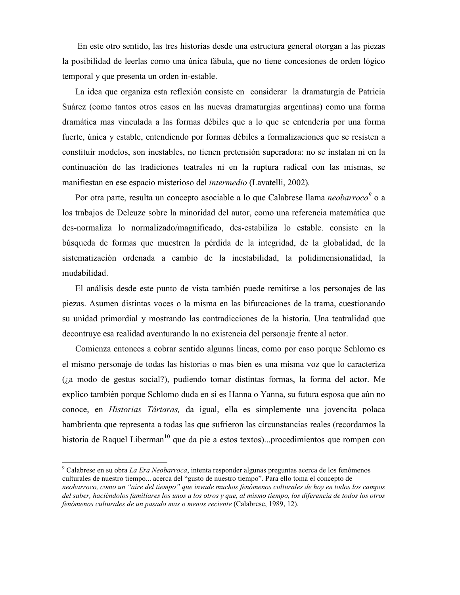En este otro sentido, las tres historias desde una estructura general otorgan a las piezas la posibilidad de leerlas como una única fábula, que no tiene concesiones de orden lógico temporal y que presenta un orden in-estable.

La idea que organiza esta reflexión consiste en considerar la dramaturgia de Patricia Suárez (como tantos otros casos en las nuevas dramaturgias argentinas) como una forma dramática mas vinculada a las formas débiles que a lo que se entendería por una forma fuerte, única y estable, entendiendo por formas débiles a formalizaciones que se resisten a constituir modelos, son inestables, no tienen pretensión superadora: no se instalan ni en la continuación de las tradiciones teatrales ni en la ruptura radical con las mismas, se manifiestan en ese espacio misterioso del *intermedio* (Lavatelli, 2002).

Por otra parte, resulta un concepto asociable a lo que Calabrese llama *neobarroco*<sup>9</sup> o a los trabajos de Deleuze sobre la minoridad del autor, como una referencia matemática que des-normaliza lo normalizado/magnificado, des-estabiliza lo estable, consiste en la búsqueda de formas que muestren la pérdida de la integridad, de la globalidad, de la sistematización ordenada a cambio de la inestabilidad, la polidimensionalidad, la mudabilidad.

El análisis desde este punto de vista también puede remitirse a los personajes de las piezas. Asumen distintas voces o la misma en las bifurcaciones de la trama, cuestionando su unidad primordial y mostrando las contradicciones de la historia. Una teatralidad que decontruye esa realidad aventurando la no existencia del personaje frente al actor.

Comienza entonces a cobrar sentido algunas líneas, como por caso porque Schlomo es el mismo personaje de todas las historias o mas bien es una misma voz que lo caracteriza (i.a modo de gestus social?), pudiendo tomar distintas formas, la forma del actor. Me explico también porque Schlomo duda en si es Hanna o Yanna, su futura esposa que aún no conoce, en *Historias Tártaras*, da igual, ella es simplemente una jovencita polaca hambrienta que representa a todas las que sufrieron las circunstancias reales (recordamos la historia de Raquel Liberman<sup>10</sup> que da pie a estos textos)...procedimientos que rompen con

<sup>&</sup>lt;sup>9</sup> Calabrese en su obra *La Era Neobarroca*, intenta responder algunas preguntas acerca de los fenómenos culturales de nuestro tiempo... acerca del "gusto de nuestro tiempo". Para ello toma el concepto de neobarroco, como un "aire del tiempo" que invade muchos fenómenos culturales de hoy en todos los campos del saber, haciéndolos familiares los unos a los otros y que, al mismo tiempo, los diferencia de todos los otros fenómenos culturales de un pasado mas o menos reciente (Calabrese, 1989, 12).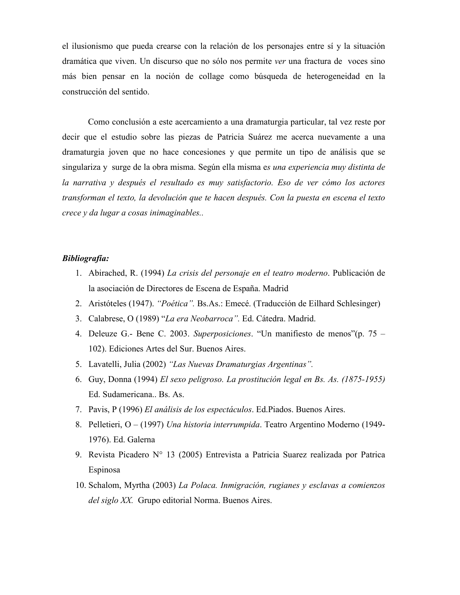el ilusionismo que pueda crearse con la relación de los personajes entre sí y la situación dramática que viven. Un discurso que no sólo nos permite ver una fractura de voces sino más bien pensar en la noción de collage como búsqueda de heterogeneidad en la construcción del sentido.

Como conclusión a este acercamiento a una dramaturgia particular, tal vez reste por decir que el estudio sobre las piezas de Patricia Suárez me acerca nuevamente a una dramaturgia joven que no hace concesiones y que permite un tipo de análisis que se singulariza y surge de la obra misma. Según ella misma es una experiencia muy distinta de la narrativa y después el resultado es muy satisfactorio. Eso de ver cómo los actores transforman el texto, la devolución que te hacen después. Con la puesta en escena el texto crece y da lugar a cosas inimaginables..

# **Bibliografía:**

- 1. Abirached, R. (1994) La crisis del personaje en el teatro moderno. Publicación de la asociación de Directores de Escena de España. Madrid
- 2. Aristóteles (1947). "Poética". Bs.As.: Emecé. (Traducción de Eilhard Schlesinger)
- 3. Calabrese, O (1989) "La era Neobarroca". Ed. Cátedra. Madrid.
- 4. Deleuze G.- Bene C. 2003. Superposiciones. "Un manifiesto de menos" (p. 75 102). Ediciones Artes del Sur. Buenos Aires.
- 5. Lavatelli, Julia (2002) "Las Nuevas Dramaturgias Argentinas".
- 6. Guy, Donna (1994) El sexo peligroso. La prostitución legal en Bs. As. (1875-1955) Ed. Sudamericana.. Bs. As.
- 7. Pavis, P (1996) El análisis de los espectáculos. Ed.Piados. Buenos Aires.
- 8. Pelletieri, O (1997) Una historia interrumpida. Teatro Argentino Moderno (1949-1976). Ed. Galerna
- 9. Revista Picadero Nº 13 (2005) Entrevista a Patricia Suarez realizada por Patrica Espinosa
- 10. Schalom, Myrtha (2003) La Polaca. Inmigración, rugianes y esclavas a comienzos del siglo XX. Grupo editorial Norma. Buenos Aires.